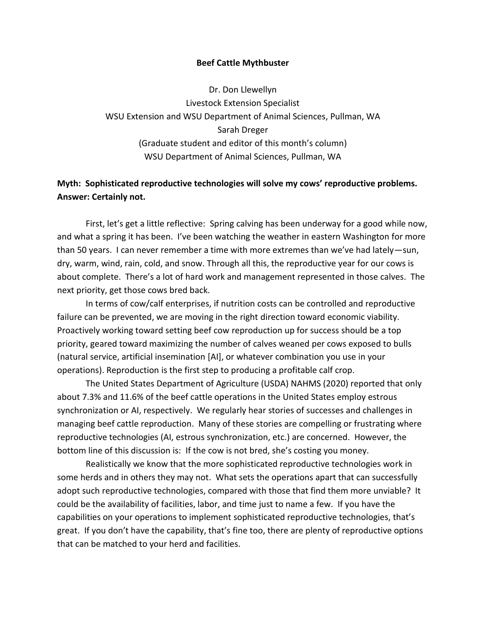## **Beef Cattle Mythbuster**

Dr. Don Llewellyn Livestock Extension Specialist WSU Extension and WSU Department of Animal Sciences, Pullman, WA Sarah Dreger (Graduate student and editor of this month's column) WSU Department of Animal Sciences, Pullman, WA

## **Myth: Sophisticated reproductive technologies will solve my cows' reproductive problems. Answer: Certainly not.**

First, let's get a little reflective: Spring calving has been underway for a good while now, and what a spring it has been. I've been watching the weather in eastern Washington for more than 50 years. I can never remember a time with more extremes than we've had lately—sun, dry, warm, wind, rain, cold, and snow. Through all this, the reproductive year for our cows is about complete. There's a lot of hard work and management represented in those calves. The next priority, get those cows bred back.

In terms of cow/calf enterprises, if nutrition costs can be controlled and reproductive failure can be prevented, we are moving in the right direction toward economic viability. Proactively working toward setting beef cow reproduction up for success should be a top priority, geared toward maximizing the number of calves weaned per cows exposed to bulls (natural service, artificial insemination [AI], or whatever combination you use in your operations). Reproduction is the first step to producing a profitable calf crop.

The United States Department of Agriculture (USDA) NAHMS (2020) reported that only about 7.3% and 11.6% of the beef cattle operations in the United States employ estrous synchronization or AI, respectively. We regularly hear stories of successes and challenges in managing beef cattle reproduction. Many of these stories are compelling or frustrating where reproductive technologies (AI, estrous synchronization, etc.) are concerned. However, the bottom line of this discussion is: If the cow is not bred, she's costing you money.

Realistically we know that the more sophisticated reproductive technologies work in some herds and in others they may not. What sets the operations apart that can successfully adopt such reproductive technologies, compared with those that find them more unviable? It could be the availability of facilities, labor, and time just to name a few. If you have the capabilities on your operations to implement sophisticated reproductive technologies, that's great. If you don't have the capability, that's fine too, there are plenty of reproductive options that can be matched to your herd and facilities.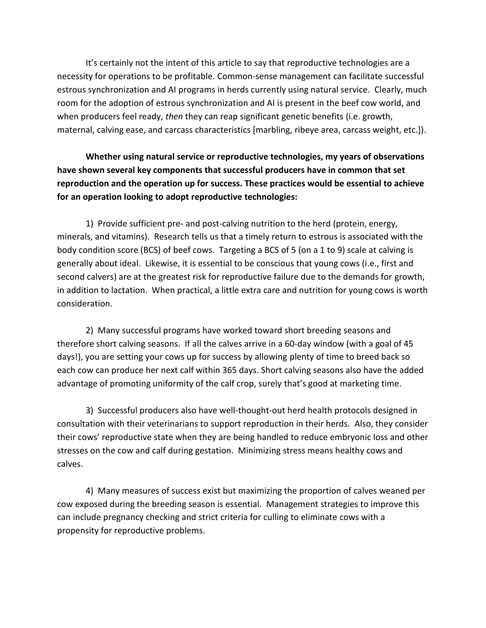It's certainly not the intent of this article to say that reproductive technologies are a necessity for operations to be profitable. Common-sense management can facilitate successful estrous synchronization and AI programs in herds currently using natural service. Clearly, much room for the adoption of estrous synchronization and AI is present in the beef cow world, and when producers feel ready, *then* they can reap significant genetic benefits (i.e. growth, maternal, calving ease, and carcass characteristics [marbling, ribeye area, carcass weight, etc.]).

**Whether using natural service or reproductive technologies, my years of observations have shown several key components that successful producers have in common that set reproduction and the operation up for success. These practices would be essential to achieve for an operation looking to adopt reproductive technologies:**

1) Provide sufficient pre- and post-calving nutrition to the herd (protein, energy, minerals, and vitamins). Research tells us that a timely return to estrous is associated with the body condition score (BCS) of beef cows. Targeting a BCS of 5 (on a 1 to 9) scale at calving is generally about ideal. Likewise, it is essential to be conscious that young cows (i.e., first and second calvers) are at the greatest risk for reproductive failure due to the demands for growth, in addition to lactation. When practical, a little extra care and nutrition for young cows is worth consideration.

2) Many successful programs have worked toward short breeding seasons and therefore short calving seasons. If all the calves arrive in a 60-day window (with a goal of 45 days!), you are setting your cows up for success by allowing plenty of time to breed back so each cow can produce her next calf within 365 days. Short calving seasons also have the added advantage of promoting uniformity of the calf crop, surely that's good at marketing time.

3) Successful producers also have well-thought-out herd health protocols designed in consultation with their veterinarians to support reproduction in their herds. Also, they consider their cows' reproductive state when they are being handled to reduce embryonic loss and other stresses on the cow and calf during gestation. Minimizing stress means healthy cows and calves.

4) Many measures of success exist but maximizing the proportion of calves weaned per cow exposed during the breeding season is essential. Management strategies to improve this can include pregnancy checking and strict criteria for culling to eliminate cows with a propensity for reproductive problems.